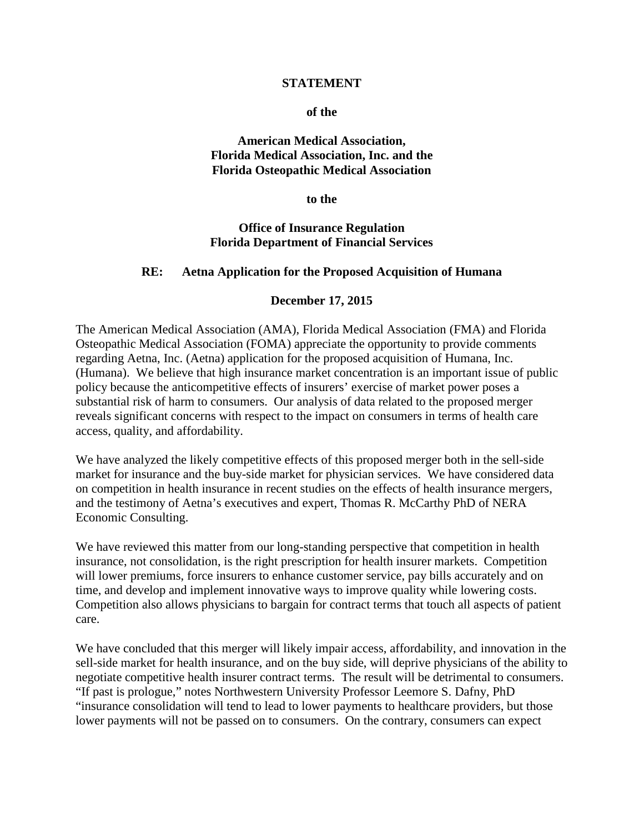#### **STATEMENT**

#### **of the**

#### **American Medical Association, Florida Medical Association, Inc. and the Florida Osteopathic Medical Association**

**to the**

#### **Office of Insurance Regulation Florida Department of Financial Services**

### **RE: Aetna Application for the Proposed Acquisition of Humana**

#### **December 17, 2015**

The American Medical Association (AMA), Florida Medical Association (FMA) and Florida Osteopathic Medical Association (FOMA) appreciate the opportunity to provide comments regarding Aetna, Inc. (Aetna) application for the proposed acquisition of Humana, Inc. (Humana). We believe that high insurance market concentration is an important issue of public policy because the anticompetitive effects of insurers' exercise of market power poses a substantial risk of harm to consumers. Our analysis of data related to the proposed merger reveals significant concerns with respect to the impact on consumers in terms of health care access, quality, and affordability.

We have analyzed the likely competitive effects of this proposed merger both in the sell-side market for insurance and the buy-side market for physician services. We have considered data on competition in health insurance in recent studies on the effects of health insurance mergers, and the testimony of Aetna's executives and expert, Thomas R. McCarthy PhD of NERA Economic Consulting.

We have reviewed this matter from our long-standing perspective that competition in health insurance, not consolidation, is the right prescription for health insurer markets. Competition will lower premiums, force insurers to enhance customer service, pay bills accurately and on time, and develop and implement innovative ways to improve quality while lowering costs. Competition also allows physicians to bargain for contract terms that touch all aspects of patient care.

We have concluded that this merger will likely impair access, affordability, and innovation in the sell-side market for health insurance, and on the buy side, will deprive physicians of the ability to negotiate competitive health insurer contract terms. The result will be detrimental to consumers. "If past is prologue," notes Northwestern University Professor Leemore S. Dafny, PhD "insurance consolidation will tend to lead to lower payments to healthcare providers, but those lower payments will not be passed on to consumers. On the contrary, consumers can expect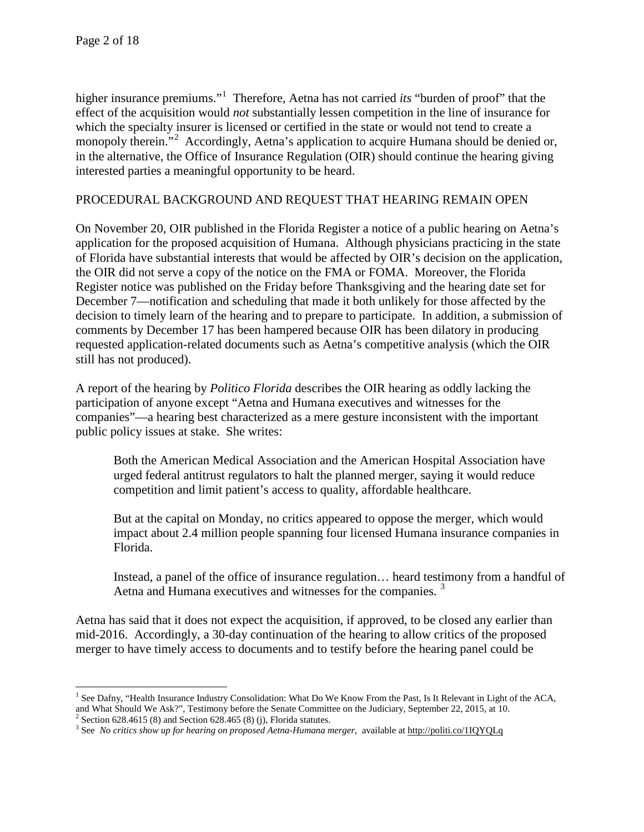$\overline{\phantom{a}}$ 

higher insurance premiums."[1](#page-1-0) Therefore, Aetna has not carried *its* "burden of proof" that the effect of the acquisition would *not* substantially lessen competition in the line of insurance for which the specialty insurer is licensed or certified in the state or would not tend to create a monopoly therein."<sup>[2](#page-1-1)</sup> Accordingly, Aetna's application to acquire Humana should be denied or, in the alternative, the Office of Insurance Regulation (OIR) should continue the hearing giving interested parties a meaningful opportunity to be heard.

### PROCEDURAL BACKGROUND AND REQUEST THAT HEARING REMAIN OPEN

On November 20, OIR published in the Florida Register a notice of a public hearing on Aetna's application for the proposed acquisition of Humana. Although physicians practicing in the state of Florida have substantial interests that would be affected by OIR's decision on the application, the OIR did not serve a copy of the notice on the FMA or FOMA. Moreover, the Florida Register notice was published on the Friday before Thanksgiving and the hearing date set for December 7—notification and scheduling that made it both unlikely for those affected by the decision to timely learn of the hearing and to prepare to participate. In addition, a submission of comments by December 17 has been hampered because OIR has been dilatory in producing requested application-related documents such as Aetna's competitive analysis (which the OIR still has not produced).

A report of the hearing by *Politico Florida* describes the OIR hearing as oddly lacking the participation of anyone except "Aetna and Humana executives and witnesses for the companies"—a hearing best characterized as a mere gesture inconsistent with the important public policy issues at stake. She writes:

Both the American Medical Association and the American Hospital Association have urged federal antitrust regulators to halt the planned merger, saying it would reduce competition and limit patient's access to quality, affordable healthcare.

But at the capital on Monday, no critics appeared to oppose the merger, which would impact about 2.4 million people spanning four licensed Humana insurance companies in Florida.

Instead, a panel of the office of insurance regulation… heard testimony from a handful of Aetna and Humana executives and witnesses for the companies.<sup>[3](#page-1-2)</sup>

Aetna has said that it does not expect the acquisition, if approved, to be closed any earlier than mid-2016. Accordingly, a 30-day continuation of the hearing to allow critics of the proposed merger to have timely access to documents and to testify before the hearing panel could be

<span id="page-1-0"></span><sup>&</sup>lt;sup>1</sup> See Dafny, "Health Insurance Industry Consolidation: What Do We Know From the Past, Is It Relevant in Light of the ACA, and What Should We Ask?", Testimony before the Senate Committee on the Judiciary, September 22, 2015, at 10.  $2$  Section 628.4615 (8) and Section 628.465 (8) (j), Florida statutes.

<span id="page-1-2"></span><span id="page-1-1"></span><sup>&</sup>lt;sup>3</sup> See *No critics show up for hearing on proposed Aetna-Humana merger*, available a[t http://politi.co/1IQYQLq](http://politi.co/1IQYQLq)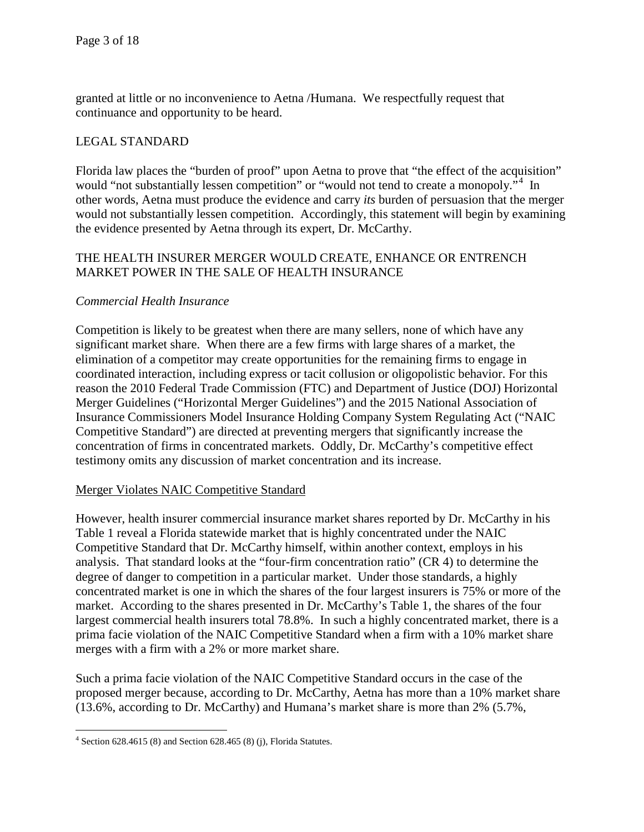granted at little or no inconvenience to Aetna /Humana. We respectfully request that continuance and opportunity to be heard.

# LEGAL STANDARD

Florida law places the "burden of proof" upon Aetna to prove that "the effect of the acquisition" would "not substantially lessen competition" or "would not tend to create a monopoly."<sup>[4](#page-2-0)</sup> In other words, Aetna must produce the evidence and carry *its* burden of persuasion that the merger would not substantially lessen competition. Accordingly, this statement will begin by examining the evidence presented by Aetna through its expert, Dr. McCarthy.

# THE HEALTH INSURER MERGER WOULD CREATE, ENHANCE OR ENTRENCH MARKET POWER IN THE SALE OF HEALTH INSURANCE

### *Commercial Health Insurance*

Competition is likely to be greatest when there are many sellers, none of which have any significant market share. When there are a few firms with large shares of a market, the elimination of a competitor may create opportunities for the remaining firms to engage in coordinated interaction, including express or tacit collusion or oligopolistic behavior. For this reason the 2010 Federal Trade Commission (FTC) and Department of Justice (DOJ) Horizontal Merger Guidelines ("Horizontal Merger Guidelines") and the 2015 National Association of Insurance Commissioners Model Insurance Holding Company System Regulating Act ("NAIC Competitive Standard") are directed at preventing mergers that significantly increase the concentration of firms in concentrated markets. Oddly, Dr. McCarthy's competitive effect testimony omits any discussion of market concentration and its increase.

#### Merger Violates NAIC Competitive Standard

However, health insurer commercial insurance market shares reported by Dr. McCarthy in his Table 1 reveal a Florida statewide market that is highly concentrated under the NAIC Competitive Standard that Dr. McCarthy himself, within another context, employs in his analysis. That standard looks at the "four-firm concentration ratio" (CR 4) to determine the degree of danger to competition in a particular market. Under those standards, a highly concentrated market is one in which the shares of the four largest insurers is 75% or more of the market. According to the shares presented in Dr. McCarthy's Table 1, the shares of the four largest commercial health insurers total 78.8%. In such a highly concentrated market, there is a prima facie violation of the NAIC Competitive Standard when a firm with a 10% market share merges with a firm with a 2% or more market share.

Such a prima facie violation of the NAIC Competitive Standard occurs in the case of the proposed merger because, according to Dr. McCarthy, Aetna has more than a 10% market share (13.6%, according to Dr. McCarthy) and Humana's market share is more than 2% (5.7%,

<span id="page-2-0"></span>l  $4$  Section 628.4615 (8) and Section 628.465 (8) (j), Florida Statutes.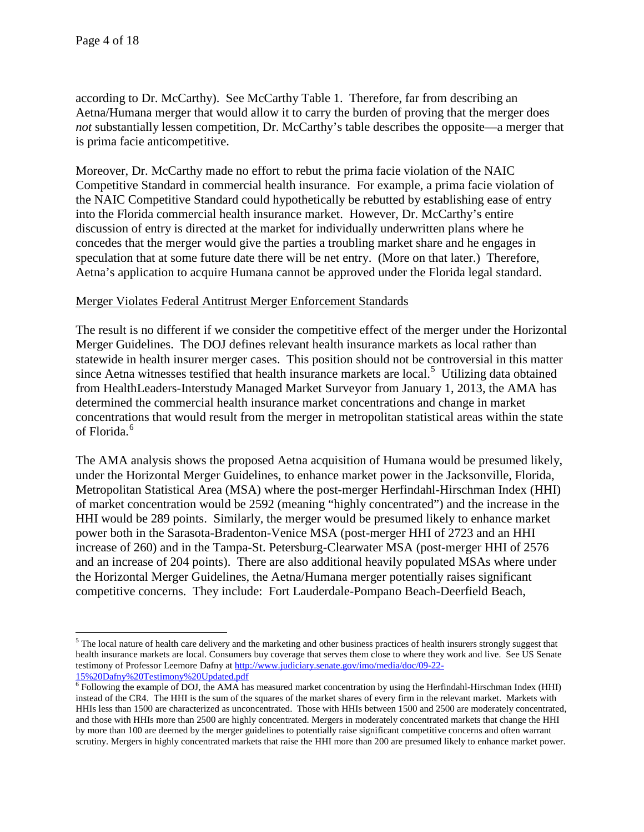$\overline{\phantom{a}}$ 

according to Dr. McCarthy). See McCarthy Table 1. Therefore, far from describing an Aetna/Humana merger that would allow it to carry the burden of proving that the merger does *not* substantially lessen competition, Dr. McCarthy's table describes the opposite—a merger that is prima facie anticompetitive.

Moreover, Dr. McCarthy made no effort to rebut the prima facie violation of the NAIC Competitive Standard in commercial health insurance. For example, a prima facie violation of the NAIC Competitive Standard could hypothetically be rebutted by establishing ease of entry into the Florida commercial health insurance market. However, Dr. McCarthy's entire discussion of entry is directed at the market for individually underwritten plans where he concedes that the merger would give the parties a troubling market share and he engages in speculation that at some future date there will be net entry. (More on that later.) Therefore, Aetna's application to acquire Humana cannot be approved under the Florida legal standard.

#### Merger Violates Federal Antitrust Merger Enforcement Standards

The result is no different if we consider the competitive effect of the merger under the Horizontal Merger Guidelines. The DOJ defines relevant health insurance markets as local rather than statewide in health insurer merger cases. This position should not be controversial in this matter since Aetna witnesses testified that health insurance markets are local.<sup>[5](#page-3-0)</sup> Utilizing data obtained from HealthLeaders-Interstudy Managed Market Surveyor from January 1, 2013, the AMA has determined the commercial health insurance market concentrations and change in market concentrations that would result from the merger in metropolitan statistical areas within the state of Florida. [6](#page-3-1)

The AMA analysis shows the proposed Aetna acquisition of Humana would be presumed likely, under the Horizontal Merger Guidelines, to enhance market power in the Jacksonville, Florida, Metropolitan Statistical Area (MSA) where the post-merger Herfindahl-Hirschman Index (HHI) of market concentration would be 2592 (meaning "highly concentrated") and the increase in the HHI would be 289 points. Similarly, the merger would be presumed likely to enhance market power both in the Sarasota-Bradenton-Venice MSA (post-merger HHI of 2723 and an HHI increase of 260) and in the Tampa-St. Petersburg-Clearwater MSA (post-merger HHI of 2576 and an increase of 204 points). There are also additional heavily populated MSAs where under the Horizontal Merger Guidelines, the Aetna/Humana merger potentially raises significant competitive concerns. They include: Fort Lauderdale-Pompano Beach-Deerfield Beach,

<span id="page-3-0"></span><sup>&</sup>lt;sup>5</sup> The local nature of health care delivery and the marketing and other business practices of health insurers strongly suggest that health insurance markets are local. Consumers buy coverage that serves them close to where they work and live. See US Senate testimony of Professor Leemore Dafny a[t http://www.judiciary.senate.gov/imo/media/doc/09-22-](http://www.judiciary.senate.gov/imo/media/doc/09-22-15%20Dafny%20Testimony%20Updated.pdf)<br>15%20Dafny%20Testimony%20Updated.pdf

<span id="page-3-1"></span> $\overline{6}$  Following the example of DOJ, the AMA has measured market concentration by using the Herfindahl-Hirschman Index (HHI) instead of the CR4. The HHI is the sum of the squares of the market shares of every firm in the relevant market. Markets with HHIs less than 1500 are characterized as unconcentrated. Those with HHIs between 1500 and 2500 are moderately concentrated, and those with HHIs more than 2500 are highly concentrated. Mergers in moderately concentrated markets that change the HHI by more than 100 are deemed by the merger guidelines to potentially raise significant competitive concerns and often warrant scrutiny. Mergers in highly concentrated markets that raise the HHI more than 200 are presumed likely to enhance market power.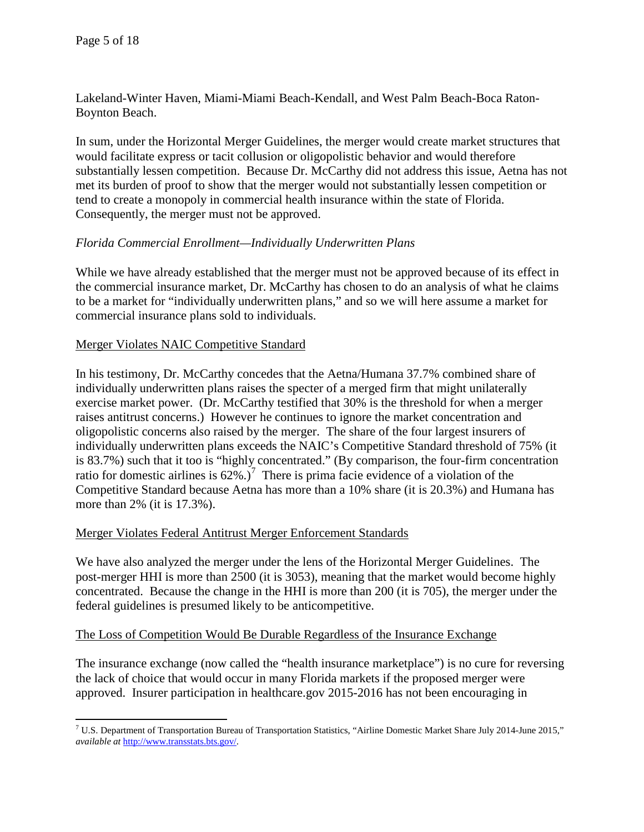Lakeland-Winter Haven, Miami-Miami Beach-Kendall, and West Palm Beach-Boca Raton-Boynton Beach.

In sum, under the Horizontal Merger Guidelines, the merger would create market structures that would facilitate express or tacit collusion or oligopolistic behavior and would therefore substantially lessen competition. Because Dr. McCarthy did not address this issue, Aetna has not met its burden of proof to show that the merger would not substantially lessen competition or tend to create a monopoly in commercial health insurance within the state of Florida. Consequently, the merger must not be approved.

# *Florida Commercial Enrollment—Individually Underwritten Plans*

While we have already established that the merger must not be approved because of its effect in the commercial insurance market, Dr. McCarthy has chosen to do an analysis of what he claims to be a market for "individually underwritten plans," and so we will here assume a market for commercial insurance plans sold to individuals.

#### Merger Violates NAIC Competitive Standard

In his testimony, Dr. McCarthy concedes that the Aetna/Humana 37.7% combined share of individually underwritten plans raises the specter of a merged firm that might unilaterally exercise market power. (Dr. McCarthy testified that 30% is the threshold for when a merger raises antitrust concerns.) However he continues to ignore the market concentration and oligopolistic concerns also raised by the merger. The share of the four largest insurers of individually underwritten plans exceeds the NAIC's Competitive Standard threshold of 75% (it is 83.7%) such that it too is "highly concentrated." (By comparison, the four-firm concentration ratio for domestic airlines is  $62\%$ .)<sup>[7](#page-4-0)</sup> There is prima facie evidence of a violation of the Competitive Standard because Aetna has more than a 10% share (it is 20.3%) and Humana has more than 2% (it is 17.3%).

#### Merger Violates Federal Antitrust Merger Enforcement Standards

We have also analyzed the merger under the lens of the Horizontal Merger Guidelines. The post-merger HHI is more than 2500 (it is 3053), meaning that the market would become highly concentrated. Because the change in the HHI is more than 200 (it is 705), the merger under the federal guidelines is presumed likely to be anticompetitive.

#### The Loss of Competition Would Be Durable Regardless of the Insurance Exchange

The insurance exchange (now called the "health insurance marketplace") is no cure for reversing the lack of choice that would occur in many Florida markets if the proposed merger were approved. Insurer participation in healthcare.gov 2015-2016 has not been encouraging in

<span id="page-4-0"></span> $\overline{\phantom{a}}$ <sup>7</sup> U.S. Department of Transportation Bureau of Transportation Statistics, "Airline Domestic Market Share July 2014-June 2015," *available at* [http://www.transstats.bts.gov/.](http://www.transstats.bts.gov/)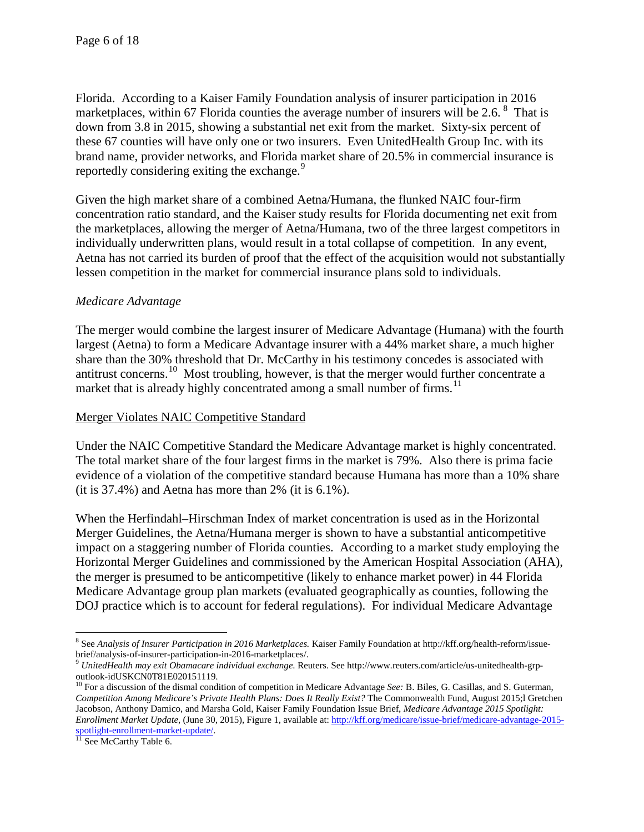Florida. According to a Kaiser Family Foundation analysis of insurer participation in 2016 marketplaces, within 67 Florida counties the average number of insurers will be 2.6.  $8\degree$  $8\degree$  That is down from 3.8 in 2015, showing a substantial net exit from the market. Sixty-six percent of these 67 counties will have only one or two insurers. Even UnitedHealth Group Inc. with its brand name, provider networks, and Florida market share of 20.5% in commercial insurance is reportedly considering exiting the exchange.<sup>[9](#page-5-1)</sup>

Given the high market share of a combined Aetna/Humana, the flunked NAIC four-firm concentration ratio standard, and the Kaiser study results for Florida documenting net exit from the marketplaces, allowing the merger of Aetna/Humana, two of the three largest competitors in individually underwritten plans, would result in a total collapse of competition. In any event, Aetna has not carried its burden of proof that the effect of the acquisition would not substantially lessen competition in the market for commercial insurance plans sold to individuals.

# *Medicare Advantage*

The merger would combine the largest insurer of Medicare Advantage (Humana) with the fourth largest (Aetna) to form a Medicare Advantage insurer with a 44% market share, a much higher share than the 30% threshold that Dr. McCarthy in his testimony concedes is associated with antitrust concerns.<sup>10</sup> Most troubling, however, is that the merger would further concentrate a market that is already highly concentrated among a small number of firms.<sup>[11](#page-5-3)</sup>

#### Merger Violates NAIC Competitive Standard

Under the NAIC Competitive Standard the Medicare Advantage market is highly concentrated. The total market share of the four largest firms in the market is 79%. Also there is prima facie evidence of a violation of the competitive standard because Humana has more than a 10% share (it is 37.4%) and Aetna has more than 2% (it is 6.1%).

When the Herfindahl–Hirschman Index of market concentration is used as in the Horizontal Merger Guidelines, the Aetna/Humana merger is shown to have a substantial anticompetitive impact on a staggering number of Florida counties. According to a market study employing the Horizontal Merger Guidelines and commissioned by the American Hospital Association (AHA), the merger is presumed to be anticompetitive (likely to enhance market power) in 44 Florida Medicare Advantage group plan markets (evaluated geographically as counties, following the DOJ practice which is to account for federal regulations). For individual Medicare Advantage

 $\overline{\phantom{a}}$ 

<span id="page-5-0"></span><sup>8</sup> See *Analysis of Insurer Participation in 2016 Marketplaces.* Kaiser Family Foundation at http://kff.org/health-reform/issuebrief/analysis-of-insurer-participation-in-2016-marketplaces/.<br><sup>9</sup> *UnitedHealth may exit Obamacare individual exchange*. Reuters. See http://www.reuters.com/article/us-unitedhealth-grp-

<span id="page-5-2"></span><span id="page-5-1"></span>outlook-idUSKCN0T81E020151119.<br><sup>10</sup> For a discussion of the dismal condition of competition in Medicare Advantage *See:* B. Biles, G. Casillas, and S. Guterman, *Competition Among Medicare's Private Health Plans: Does It Really Exist?* The Commonwealth Fund, August 2015;l Gretchen Jacobson, Anthony Damico, and Marsha Gold, Kaiser Family Foundation Issue Brief, *Medicare Advantage 2015 Spotlight: Enrollment Market Update*, (June 30, 2015), Figure 1, available at[: http://kff.org/medicare/issue-brief/medicare-advantage-2015](https://urldefense.proofpoint.com/v2/url?u=http-3A__kff.org_medicare_issue-2Dbrief_medicare-2Dadvantage-2D2015-2Dspotlight-2Denrollment-2Dmarket-2Dupdate_&d=BQMFAg&c=iqeSLYkBTKTEV8nJYtdW_A&r=zMblwI8Sq5724SHzyBE4GtqIERClBtplei_3Cz4e7vg&m=9bQxIjN0br6PQy4Ax_Fjb-RmhIn3-nNFYKTJOwdVRQM&s=yNlfxMCYhro7r36e6uqN5fn0K-_F3pL8WBzyI7vT5Aw&e=) [spotlight-enrollment-market-update/.](https://urldefense.proofpoint.com/v2/url?u=http-3A__kff.org_medicare_issue-2Dbrief_medicare-2Dadvantage-2D2015-2Dspotlight-2Denrollment-2Dmarket-2Dupdate_&d=BQMFAg&c=iqeSLYkBTKTEV8nJYtdW_A&r=zMblwI8Sq5724SHzyBE4GtqIERClBtplei_3Cz4e7vg&m=9bQxIjN0br6PQy4Ax_Fjb-RmhIn3-nNFYKTJOwdVRQM&s=yNlfxMCYhro7r36e6uqN5fn0K-_F3pL8WBzyI7vT5Aw&e=)<br><sup>11</sup> See McCarthy Table 6.

<span id="page-5-3"></span>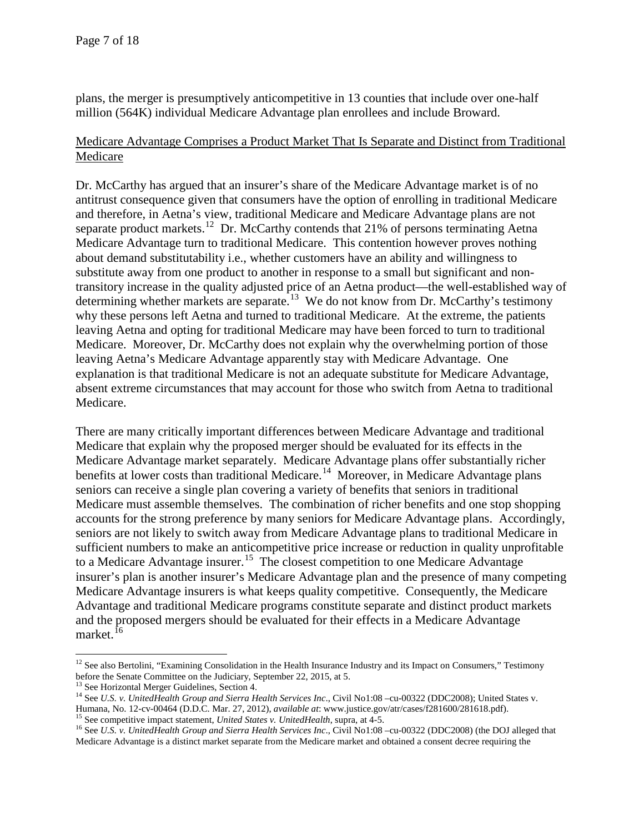plans, the merger is presumptively anticompetitive in 13 counties that include over one-half million (564K) individual Medicare Advantage plan enrollees and include Broward.

## Medicare Advantage Comprises a Product Market That Is Separate and Distinct from Traditional Medicare

Dr. McCarthy has argued that an insurer's share of the Medicare Advantage market is of no antitrust consequence given that consumers have the option of enrolling in traditional Medicare and therefore, in Aetna's view, traditional Medicare and Medicare Advantage plans are not separate product markets.<sup>12</sup> Dr. McCarthy contends that 21% of persons terminating Aetna Medicare Advantage turn to traditional Medicare. This contention however proves nothing about demand substitutability i.e., whether customers have an ability and willingness to substitute away from one product to another in response to a small but significant and nontransitory increase in the quality adjusted price of an Aetna product—the well-established way of determining whether markets are separate.<sup>[13](#page-6-1)</sup> We do not know from Dr. McCarthy's testimony why these persons left Aetna and turned to traditional Medicare. At the extreme, the patients leaving Aetna and opting for traditional Medicare may have been forced to turn to traditional Medicare. Moreover, Dr. McCarthy does not explain why the overwhelming portion of those leaving Aetna's Medicare Advantage apparently stay with Medicare Advantage. One explanation is that traditional Medicare is not an adequate substitute for Medicare Advantage, absent extreme circumstances that may account for those who switch from Aetna to traditional Medicare.

There are many critically important differences between Medicare Advantage and traditional Medicare that explain why the proposed merger should be evaluated for its effects in the Medicare Advantage market separately. Medicare Advantage plans offer substantially richer benefits at lower costs than traditional Medicare.<sup>14</sup> Moreover, in Medicare Advantage plans seniors can receive a single plan covering a variety of benefits that seniors in traditional Medicare must assemble themselves. The combination of richer benefits and one stop shopping accounts for the strong preference by many seniors for Medicare Advantage plans. Accordingly, seniors are not likely to switch away from Medicare Advantage plans to traditional Medicare in sufficient numbers to make an anticompetitive price increase or reduction in quality unprofitable to a Medicare Advantage insurer.<sup>15</sup> The closest competition to one Medicare Advantage insurer's plan is another insurer's Medicare Advantage plan and the presence of many competing Medicare Advantage insurers is what keeps quality competitive. Consequently, the Medicare Advantage and traditional Medicare programs constitute separate and distinct product markets and the proposed mergers should be evaluated for their effects in a Medicare Advantage market.<sup>[16](#page-6-4)</sup>

l

<span id="page-6-0"></span> $12$  See also Bertolini, "Examining Consolidation in the Health Insurance Industry and its Impact on Consumers," Testimony before the Senate Committee on the Judiciary, September 22, 2015, at 5.<br><sup>13</sup> See Horizontal Merger Guidelines, Section 4.

<span id="page-6-2"></span><span id="page-6-1"></span><sup>&</sup>lt;sup>14</sup> See U.S. v. UnitedHealth Group and Sierra Health Services Inc., Civil No1:08 -cu-00322 (DDC2008); United States v. Humana, No. 12-cv-00464 (D.D.C. Mar. 27, 2012), *available at*: www.justice.gov/atr/cases/f281600/281618.pdf).<br><sup>15</sup> See competitive impact statement, *United States v. UnitedHealth*, supra, at 4-5.<br><sup>16</sup> See *U.S. v. United* 

<span id="page-6-4"></span><span id="page-6-3"></span>Medicare Advantage is a distinct market separate from the Medicare market and obtained a consent decree requiring the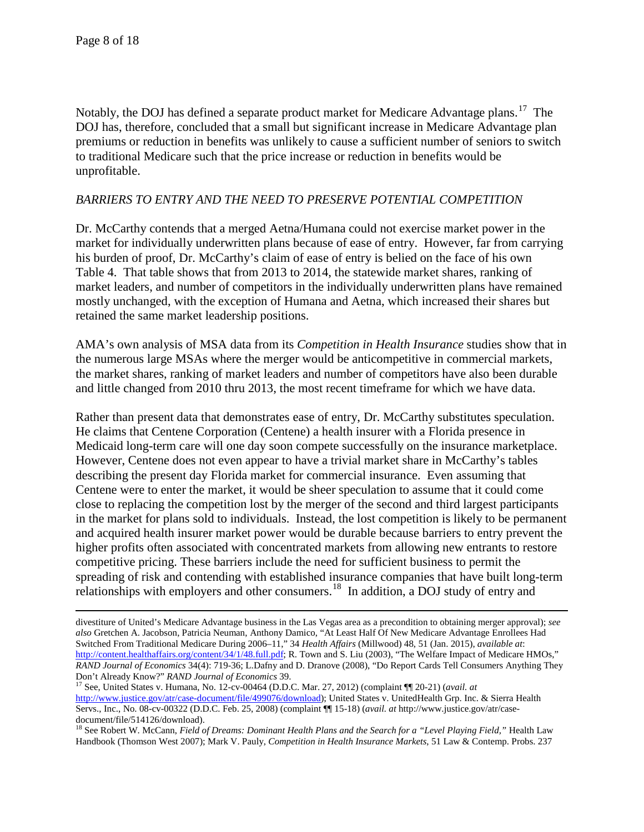$\overline{\phantom{a}}$ 

Notably, the DOJ has defined a separate product market for Medicare Advantage plans.<sup>[17](#page-7-0)</sup> The DOJ has, therefore, concluded that a small but significant increase in Medicare Advantage plan premiums or reduction in benefits was unlikely to cause a sufficient number of seniors to switch to traditional Medicare such that the price increase or reduction in benefits would be unprofitable.

### *BARRIERS TO ENTRY AND THE NEED TO PRESERVE POTENTIAL COMPETITION*

Dr. McCarthy contends that a merged Aetna/Humana could not exercise market power in the market for individually underwritten plans because of ease of entry. However, far from carrying his burden of proof, Dr. McCarthy's claim of ease of entry is belied on the face of his own Table 4. That table shows that from 2013 to 2014, the statewide market shares, ranking of market leaders, and number of competitors in the individually underwritten plans have remained mostly unchanged, with the exception of Humana and Aetna, which increased their shares but retained the same market leadership positions.

AMA's own analysis of MSA data from its *Competition in Health Insurance* studies show that in the numerous large MSAs where the merger would be anticompetitive in commercial markets, the market shares, ranking of market leaders and number of competitors have also been durable and little changed from 2010 thru 2013, the most recent timeframe for which we have data.

Rather than present data that demonstrates ease of entry, Dr. McCarthy substitutes speculation. He claims that Centene Corporation (Centene) a health insurer with a Florida presence in Medicaid long-term care will one day soon compete successfully on the insurance marketplace. However, Centene does not even appear to have a trivial market share in McCarthy's tables describing the present day Florida market for commercial insurance. Even assuming that Centene were to enter the market, it would be sheer speculation to assume that it could come close to replacing the competition lost by the merger of the second and third largest participants in the market for plans sold to individuals. Instead, the lost competition is likely to be permanent and acquired health insurer market power would be durable because barriers to entry prevent the higher profits often associated with concentrated markets from allowing new entrants to restore competitive pricing. These barriers include the need for sufficient business to permit the spreading of risk and contending with established insurance companies that have built long-term relationships with employers and other consumers.[18](#page-7-1) In addition, a DOJ study of entry and

<span id="page-7-0"></span><sup>17</sup> See, United States v. Humana, No. 12-cv-00464 (D.D.C. Mar. 27, 2012) (complaint ¶¶ 20-21) (*avail. at* [http://www.justice.gov/atr/case-document/file/499076/download\)](http://www.justice.gov/atr/case-document/file/499076/download); United States v. UnitedHealth Grp. Inc. & Sierra Health Servs., Inc., No. 08-cv-00322 (D.D.C. Feb. 25, 2008) (complaint ¶¶ 15-18) (*avail. at* http://www.justice.gov/atr/casedocument/file/514126/download).

divestiture of United's Medicare Advantage business in the Las Vegas area as a precondition to obtaining merger approval); *see also* Gretchen A. Jacobson, Patricia Neuman, Anthony Damico, "At Least Half Of New Medicare Advantage Enrollees Had Switched From Traditional Medicare During 2006–11," 34 *Health Affairs* (Millwood) 48, 51 (Jan. 2015), *available at*: [http://content.healthaffairs.org/content/34/1/48.full.pdf;](http://content.healthaffairs.org/content/34/1/48.full.pdf) R. Town and S. Liu (2003), "The Welfare Impact of Medicare HMOs," *RAND Journal of Economics* 34(4): 719-36; L.Dafny and D. Dranove (2008), "Do Report Cards Tell Consumers Anything They

<span id="page-7-1"></span><sup>&</sup>lt;sup>18</sup> See Robert W. McCann, *Field of Dreams: Dominant Health Plans and the Search for a "Level Playing Field," Health Law* Handbook (Thomson West 2007); Mark V. Pauly, *Competition in Health Insurance Markets*, 51 Law & Contemp. Probs. 237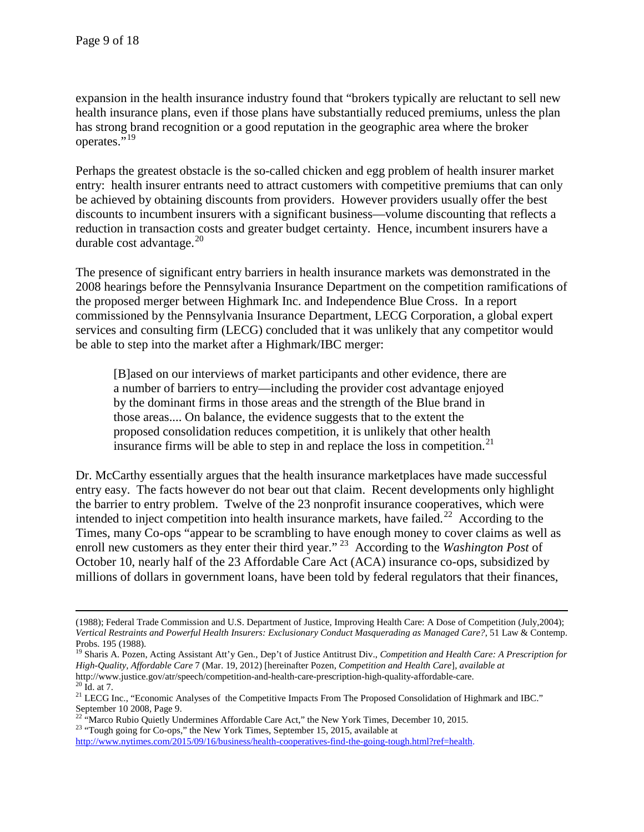expansion in the health insurance industry found that "brokers typically are reluctant to sell new health insurance plans, even if those plans have substantially reduced premiums, unless the plan has strong brand recognition or a good reputation in the geographic area where the broker operates."<sup>[19](#page-8-0)</sup>

Perhaps the greatest obstacle is the so-called chicken and egg problem of health insurer market entry: health insurer entrants need to attract customers with competitive premiums that can only be achieved by obtaining discounts from providers. However providers usually offer the best discounts to incumbent insurers with a significant business—volume discounting that reflects a reduction in transaction costs and greater budget certainty. Hence, incumbent insurers have a durable cost advantage. $^{20}$  $^{20}$  $^{20}$ 

The presence of significant entry barriers in health insurance markets was demonstrated in the 2008 hearings before the Pennsylvania Insurance Department on the competition ramifications of the proposed merger between Highmark Inc. and Independence Blue Cross. In a report commissioned by the Pennsylvania Insurance Department, LECG Corporation, a global expert services and consulting firm (LECG) concluded that it was unlikely that any competitor would be able to step into the market after a Highmark/IBC merger:

[B]ased on our interviews of market participants and other evidence, there are a number of barriers to entry—including the provider cost advantage enjoyed by the dominant firms in those areas and the strength of the Blue brand in those areas.... On balance, the evidence suggests that to the extent the proposed consolidation reduces competition, it is unlikely that other health insurance firms will be able to step in and replace the loss in competition.<sup>[21](#page-8-2)</sup>

Dr. McCarthy essentially argues that the health insurance marketplaces have made successful entry easy. The facts however do not bear out that claim. Recent developments only highlight the barrier to entry problem. Twelve of the 23 nonprofit insurance cooperatives, which were intended to inject competition into health insurance markets, have failed.<sup>[22](#page-8-3)</sup> According to the Times, many Co-ops "appear to be scrambling to have enough money to cover claims as well as enroll new customers as they enter their third year." [23](#page-8-4) According to the *Washington Post* of October 10, nearly half of the 23 Affordable Care Act (ACA) insurance co-ops, subsidized by millions of dollars in government loans, have been told by federal regulators that their finances,

<span id="page-8-4"></span>[http://www.nytimes.com/2015/09/16/business/health-cooperatives-find-the-going-tough.html?ref=health.](http://www.nytimes.com/2015/09/16/business/health-cooperatives-find-the-going-tough.html?ref=health)

 $\overline{\phantom{a}}$ (1988); Federal Trade Commission and U.S. Department of Justice, Improving Health Care: A Dose of Competition (July,2004); *Vertical Restraints and Powerful Health Insurers: Exclusionary Conduct Masquerading as Managed Care?*, 51 Law & Contemp. Probs. 195 (1988).

<span id="page-8-0"></span><sup>19</sup> Sharis A. Pozen, Acting Assistant Att'y Gen., Dep't of Justice Antitrust Div., *Competition and Health Care: A Prescription for High-Quality, Affordable Care* 7 (Mar. 19, 2012) [hereinafter Pozen, *Competition and Health Care*], *available at*  http://www.justice.gov/atr/speech/competition-and-health-care-prescription-high-quality-affordable-care.<br><sup>20</sup> Id. at 7.<br><sup>21</sup> LECG Inc., "Economic Analyses of the Competitive Impacts From The Proposed Consolidation of Highm

<span id="page-8-2"></span><span id="page-8-1"></span>

September 10 2008, Page 9.

<span id="page-8-3"></span><sup>&</sup>lt;sup>22 "</sup>Marco Rubio Quietly Undermines Affordable Care Act," the New York Times, December 10, 2015.<br><sup>23</sup> "Tough going for Co-ops," the New York Times, September 15, 2015, available at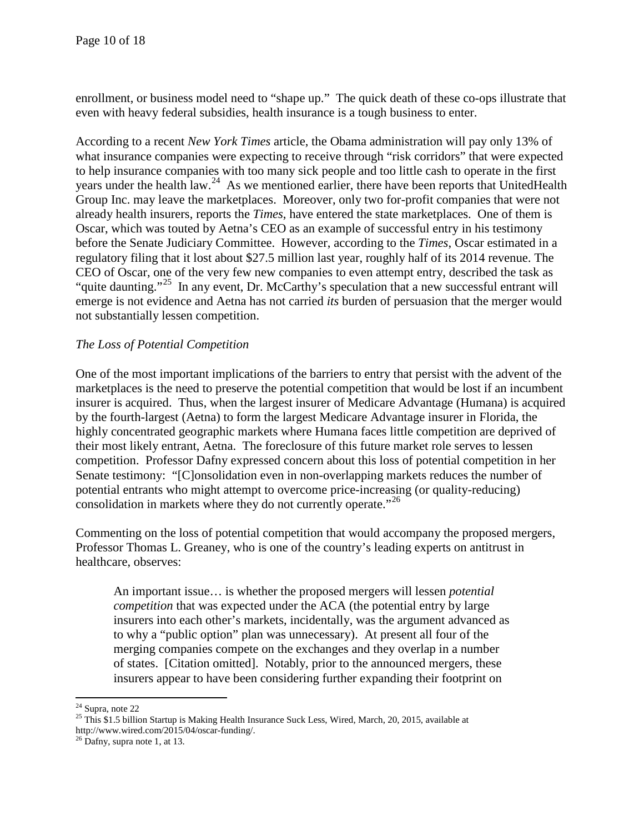enrollment, or business model need to "shape up." The quick death of these co-ops illustrate that even with heavy federal subsidies, health insurance is a tough business to enter.

According to a recent *New York Times* article, the Obama administration will pay only 13% of what insurance companies were expecting to receive through "risk corridors" that were expected to help insurance companies with too many sick people and too little cash to operate in the first years under the health law.<sup>[24](#page-9-0)</sup> As we mentioned earlier, there have been reports that UnitedHealth Group Inc. may leave the marketplaces. Moreover, only two for-profit companies that were not already health insurers, reports the *Times*, have entered the state marketplaces. One of them is Oscar, which was touted by Aetna's CEO as an example of successful entry in his testimony before the Senate Judiciary Committee. However, according to the *Times*, Oscar estimated in a regulatory filing that it lost about \$27.5 million last year, roughly half of its 2014 revenue. The CEO of Oscar, one of the very few new companies to even attempt entry, described the task as "quite daunting."<sup>[25](#page-9-1)</sup> In any event, Dr. McCarthy's speculation that a new successful entrant will emerge is not evidence and Aetna has not carried *its* burden of persuasion that the merger would not substantially lessen competition.

### *The Loss of Potential Competition*

One of the most important implications of the barriers to entry that persist with the advent of the marketplaces is the need to preserve the potential competition that would be lost if an incumbent insurer is acquired. Thus, when the largest insurer of Medicare Advantage (Humana) is acquired by the fourth-largest (Aetna) to form the largest Medicare Advantage insurer in Florida, the highly concentrated geographic markets where Humana faces little competition are deprived of their most likely entrant, Aetna. The foreclosure of this future market role serves to lessen competition. Professor Dafny expressed concern about this loss of potential competition in her Senate testimony: "[C]onsolidation even in non-overlapping markets reduces the number of potential entrants who might attempt to overcome price-increasing (or quality-reducing) consolidation in markets where they do not currently operate."<sup>[26](#page-9-2)</sup>

Commenting on the loss of potential competition that would accompany the proposed mergers, Professor Thomas L. Greaney, who is one of the country's leading experts on antitrust in healthcare, observes:

An important issue… is whether the proposed mergers will lessen *potential competition* that was expected under the ACA (the potential entry by large insurers into each other's markets, incidentally, was the argument advanced as to why a "public option" plan was unnecessary). At present all four of the merging companies compete on the exchanges and they overlap in a number of states. [Citation omitted]. Notably, prior to the announced mergers, these insurers appear to have been considering further expanding their footprint on

 $\overline{\phantom{a}}$ 

<span id="page-9-1"></span><span id="page-9-0"></span><sup>&</sup>lt;sup>24</sup> Supra, note 22<br><sup>25</sup> This \$1.5 billion Startup is Making Health Insurance Suck Less, Wired, March, 20, 2015, available at http://www.wired.com/2015/04/oscar-funding/.<br><sup>26</sup> Dafny, supra note 1, at 13.

<span id="page-9-2"></span>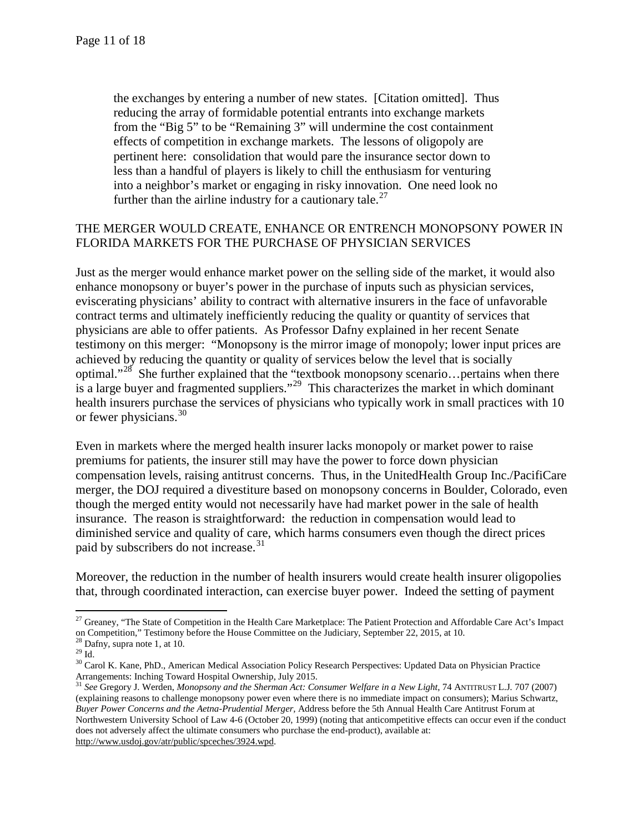the exchanges by entering a number of new states. [Citation omitted]. Thus reducing the array of formidable potential entrants into exchange markets from the "Big 5" to be "Remaining 3" will undermine the cost containment effects of competition in exchange markets. The lessons of oligopoly are pertinent here: consolidation that would pare the insurance sector down to less than a handful of players is likely to chill the enthusiasm for venturing into a neighbor's market or engaging in risky innovation. One need look no further than the airline industry for a cautionary tale.<sup>[27](#page-10-0)</sup>

### THE MERGER WOULD CREATE, ENHANCE OR ENTRENCH MONOPSONY POWER IN FLORIDA MARKETS FOR THE PURCHASE OF PHYSICIAN SERVICES

Just as the merger would enhance market power on the selling side of the market, it would also enhance monopsony or buyer's power in the purchase of inputs such as physician services, eviscerating physicians' ability to contract with alternative insurers in the face of unfavorable contract terms and ultimately inefficiently reducing the quality or quantity of services that physicians are able to offer patients. As Professor Dafny explained in her recent Senate testimony on this merger: "Monopsony is the mirror image of monopoly; lower input prices are achieved by reducing the quantity or quality of services below the level that is socially optimal."<sup>[28](#page-10-1)</sup> She further explained that the "textbook monopsony scenario... pertains when there is a large buyer and fragmented suppliers."<sup>[29](#page-10-2)</sup> This characterizes the market in which dominant health insurers purchase the services of physicians who typically work in small practices with 10 or fewer physicians.<sup>30</sup>

Even in markets where the merged health insurer lacks monopoly or market power to raise premiums for patients, the insurer still may have the power to force down physician compensation levels, raising antitrust concerns. Thus, in the UnitedHealth Group Inc./PacifiCare merger, the DOJ required a divestiture based on monopsony concerns in Boulder, Colorado, even though the merged entity would not necessarily have had market power in the sale of health insurance. The reason is straightforward: the reduction in compensation would lead to diminished service and quality of care, which harms consumers even though the direct prices paid by subscribers do not increase.<sup>[31](#page-10-4)</sup>

Moreover, the reduction in the number of health insurers would create health insurer oligopolies that, through coordinated interaction, can exercise buyer power. Indeed the setting of payment

<span id="page-10-0"></span> $\overline{\phantom{a}}$ <sup>27</sup> Greaney, "The State of Competition in the Health Care Marketplace: The Patient Protection and Affordable Care Act's Impact on Competition," Testimony before the House Committee on the Judiciary, September 22, 2015, at 10.<br><sup>28</sup> Dafny, supra note 1, at 10.

<span id="page-10-3"></span><span id="page-10-2"></span><span id="page-10-1"></span>Dainy, supra note 1, at 10.<br><sup>29</sup> Id.<br><sup>30</sup> Carol K. Kane, PhD., American Medical Association Policy Research Perspectives: Updated Data on Physician Practice Arrangements: Inching Toward Hospital Ownership, July 2015.

<span id="page-10-4"></span><sup>31</sup> *See* Gregory J. Werden, *Monopsony and the Sherman Act: Consumer Welfare in a New Light*, 74 ANTITRUST L.J*.* 707 (2007) (explaining reasons to challenge monopsony power even where there is no immediate impact on consumers); Marius Schwartz, *Buyer Power Concerns and the Aetna-Prudential Merger,* Address before the 5th Annual Health Care Antitrust Forum at Northwestern University School of Law 4-6 (October 20, 1999) (noting that anticompetitive effects can occur even if the conduct does not adversely affect the ultimate consumers who purchase the end-product), available at: [http://www.usdoj.gov/atr/public/spceches/3924.wpd.](http://www.usdoj.gov/atr/public/spceches/3924.wpd)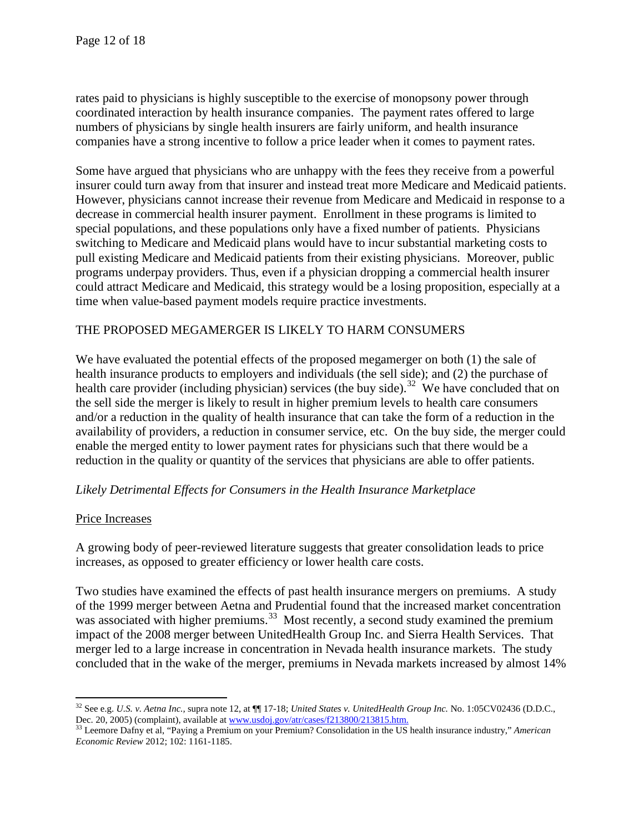rates paid to physicians is highly susceptible to the exercise of monopsony power through coordinated interaction by health insurance companies. The payment rates offered to large numbers of physicians by single health insurers are fairly uniform, and health insurance companies have a strong incentive to follow a price leader when it comes to payment rates.

Some have argued that physicians who are unhappy with the fees they receive from a powerful insurer could turn away from that insurer and instead treat more Medicare and Medicaid patients. However, physicians cannot increase their revenue from Medicare and Medicaid in response to a decrease in commercial health insurer payment. Enrollment in these programs is limited to special populations, and these populations only have a fixed number of patients. Physicians switching to Medicare and Medicaid plans would have to incur substantial marketing costs to pull existing Medicare and Medicaid patients from their existing physicians. Moreover, public programs underpay providers. Thus, even if a physician dropping a commercial health insurer could attract Medicare and Medicaid, this strategy would be a losing proposition, especially at a time when value-based payment models require practice investments.

# THE PROPOSED MEGAMERGER IS LIKELY TO HARM CONSUMERS

We have evaluated the potential effects of the proposed megamerger on both (1) the sale of health insurance products to employers and individuals (the sell side); and (2) the purchase of health care provider (including physician) services (the buy side).<sup>[32](#page-11-0)</sup> We have concluded that on the sell side the merger is likely to result in higher premium levels to health care consumers and/or a reduction in the quality of health insurance that can take the form of a reduction in the availability of providers, a reduction in consumer service, etc. On the buy side, the merger could enable the merged entity to lower payment rates for physicians such that there would be a reduction in the quality or quantity of the services that physicians are able to offer patients.

#### *Likely Detrimental Effects for Consumers in the Health Insurance Marketplace*

#### Price Increases

 $\overline{\phantom{a}}$ 

A growing body of peer-reviewed literature suggests that greater consolidation leads to price increases, as opposed to greater efficiency or lower health care costs.

Two studies have examined the effects of past health insurance mergers on premiums. A study of the 1999 merger between Aetna and Prudential found that the increased market concentration was associated with higher premiums.<sup>[33](#page-11-1)</sup> Most recently, a second study examined the premium impact of the 2008 merger between UnitedHealth Group Inc. and Sierra Health Services. That merger led to a large increase in concentration in Nevada health insurance markets. The study concluded that in the wake of the merger, premiums in Nevada markets increased by almost 14%

<span id="page-11-0"></span><sup>32</sup> See e.g. *U.S. v. Aetna Inc.,* supra note 12, at ¶¶ 17-18; *United States v. UnitedHealth Group Inc.* No. 1:05CV02436 (D.D.C., Dec. 20, 2005) (complaint), available a[t www.usdoj.gov/atr/cases/f213800/213815.htm.](http://www.usdoj.gov/atr/cases/f213800/213815.htm)<br><sup>33</sup> Leemore Dafny et al, "Paying a Premium on your Premium? Consolidation in the US health insurance industry," *American* 

<span id="page-11-1"></span>*Economic Review* 2012; 102: 1161-1185.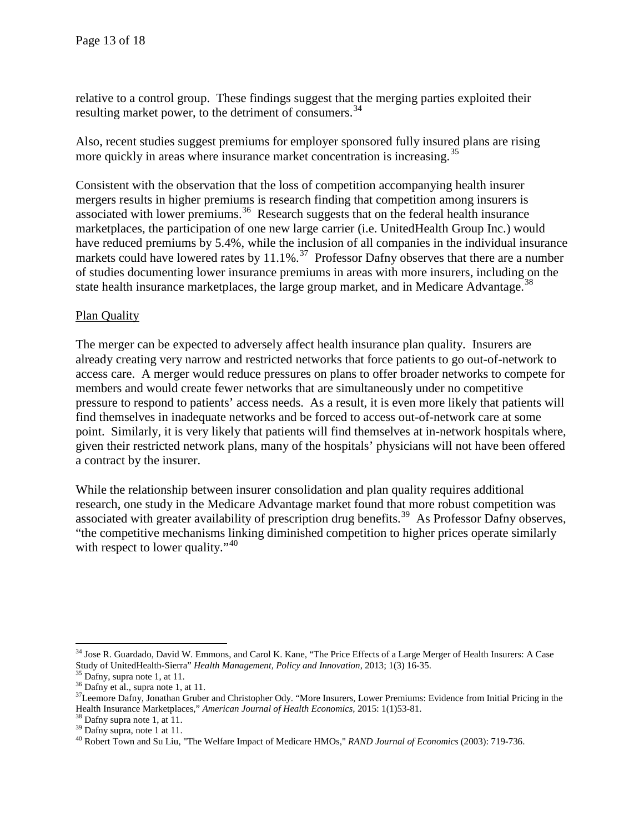relative to a control group. These findings suggest that the merging parties exploited their resulting market power, to the detriment of consumers.<sup>[34](#page-12-0)</sup>

Also, recent studies suggest premiums for employer sponsored fully insured plans are rising more quickly in areas where insurance market concentration is increasing.<sup>[35](#page-12-1)</sup>

Consistent with the observation that the loss of competition accompanying health insurer mergers results in higher premiums is research finding that competition among insurers is associated with lower premiums.<sup>36</sup> Research suggests that on the federal health insurance marketplaces, the participation of one new large carrier (i.e. UnitedHealth Group Inc.) would have reduced premiums by 5.4%, while the inclusion of all companies in the individual insurance markets could have lowered rates by  $11.1\%$ .<sup>[37](#page-12-3)</sup> Professor Dafny observes that there are a number of studies documenting lower insurance premiums in areas with more insurers, including on the state health insurance marketplaces, the large group market, and in Medicare Advantage.<sup>[38](#page-12-4)</sup>

# Plan Quality

The merger can be expected to adversely affect health insurance plan quality. Insurers are already creating very narrow and restricted networks that force patients to go out-of-network to access care. A merger would reduce pressures on plans to offer broader networks to compete for members and would create fewer networks that are simultaneously under no competitive pressure to respond to patients' access needs. As a result, it is even more likely that patients will find themselves in inadequate networks and be forced to access out-of-network care at some point. Similarly, it is very likely that patients will find themselves at in-network hospitals where, given their restricted network plans, many of the hospitals' physicians will not have been offered a contract by the insurer.

While the relationship between insurer consolidation and plan quality requires additional research, one study in the Medicare Advantage market found that more robust competition was associated with greater availability of prescription drug benefits.<sup>39</sup> As Professor Dafny observes, "the competitive mechanisms linking diminished competition to higher prices operate similarly with respect to lower quality."  $40^{\circ}$  $40^{\circ}$ 

<span id="page-12-0"></span><sup>&</sup>lt;sup>34</sup> Jose R. Guardado, David W. Emmons, and Carol K. Kane, "The Price Effects of a Large Merger of Health Insurers: A Case Study of UnitedHealth-Sierra" *Health Management, Policy and Innovation*, 2013; 1(3) 16-35.<br><sup>35</sup> Dafny, supra note 1, at 11.<br><sup>36</sup> Dafny et al., supra note 1, at 11.<br><sup>37</sup> Leemore Dafny, Jonathan Gruber and Christopher Ody.

<span id="page-12-2"></span><span id="page-12-1"></span>

<span id="page-12-3"></span>Health Insurance Marketplaces," American Journal of Health Economics, 2015: 1(1)53-81.<br><sup>38</sup> Dafny supra note 1, at 11.<br><sup>39</sup> Dafny supra, note 1 at 11.<br><sup>40</sup> Robert Town and Su Liu, "The Welfare Impact of Medicare HMOs," *RA* 

<span id="page-12-4"></span>

<span id="page-12-5"></span>

<span id="page-12-6"></span>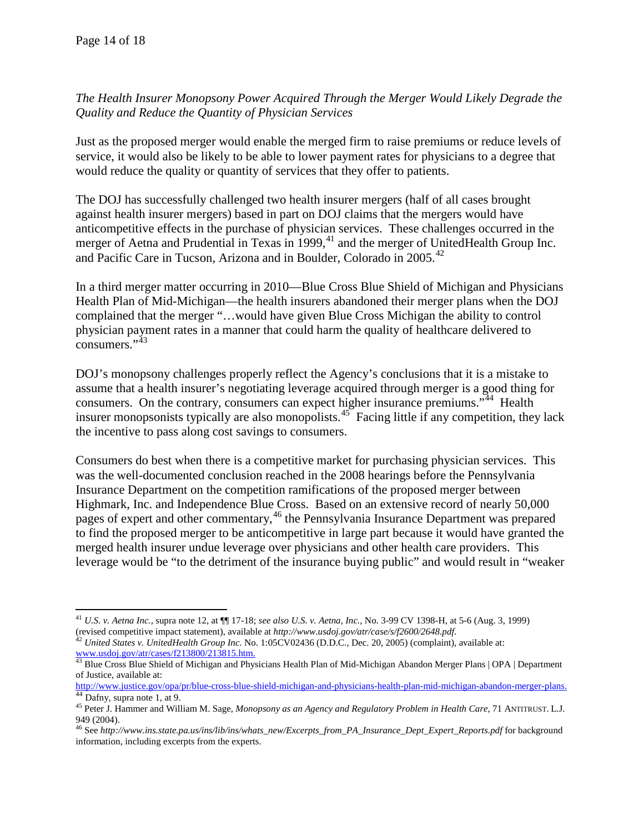*The Health Insurer Monopsony Power Acquired Through the Merger Would Likely Degrade the Quality and Reduce the Quantity of Physician Services*

Just as the proposed merger would enable the merged firm to raise premiums or reduce levels of service, it would also be likely to be able to lower payment rates for physicians to a degree that would reduce the quality or quantity of services that they offer to patients.

The DOJ has successfully challenged two health insurer mergers (half of all cases brought against health insurer mergers) based in part on DOJ claims that the mergers would have anticompetitive effects in the purchase of physician services. These challenges occurred in the merger of Aetna and Prudential in Texas in  $1999$ ,  $41$  and the merger of UnitedHealth Group Inc. and Pacific Care in Tucson, Arizona and in Boulder, Colorado in 2005.<sup>[42](#page-13-1)</sup>

In a third merger matter occurring in 2010—Blue Cross Blue Shield of Michigan and Physicians Health Plan of Mid-Michigan—the health insurers abandoned their merger plans when the DOJ complained that the merger "…would have given Blue Cross Michigan the ability to control physician payment rates in a manner that could harm the quality of healthcare delivered to consumers."<sup>[43](#page-13-2)</sup>

DOJ's monopsony challenges properly reflect the Agency's conclusions that it is a mistake to assume that a health insurer's negotiating leverage acquired through merger is a good thing for consumers. On the contrary, consumers can expect higher insurance premiums."<sup>[44](#page-13-3)</sup> Health insurer monopsonists typically are also monopolists.<sup>45</sup> Facing little if any competition, they lack the incentive to pass along cost savings to consumers.

Consumers do best when there is a competitive market for purchasing physician services. This was the well-documented conclusion reached in the 2008 hearings before the Pennsylvania Insurance Department on the competition ramifications of the proposed merger between Highmark, Inc. and Independence Blue Cross. Based on an extensive record of nearly 50,000 pages of expert and other commentary,<sup>[46](#page-13-5)</sup> the Pennsylvania Insurance Department was prepared to find the proposed merger to be anticompetitive in large part because it would have granted the merged health insurer undue leverage over physicians and other health care providers. This leverage would be "to the detriment of the insurance buying public" and would result in "weaker

 $\overline{\phantom{a}}$ <sup>41</sup> *U.S. v. Aetna Inc.,* supra note 12, at ¶¶ 17-18; *see also U.S. v. Aetna, Inc.,* No. 3-99 CV 1398-H, at 5-6 (Aug. 3, 1999)

<span id="page-13-1"></span><span id="page-13-0"></span><sup>(</sup>revised competitive impact statement), available at http://www.usdoj.gov/atr/case/s/f2600/2648.pdf.<br><sup>42</sup> United States v. UnitedHealth Group Inc. No. 1:05CV02436 (D.D.C., Dec. 20, 2005) (complaint), available at:<br>www.usdo

<span id="page-13-2"></span><sup>&</sup>lt;sup>43</sup> Blue Cross Blue Shield of Michigan and Physicians Health Plan of Mid-Michigan Abandon Merger Plans | OPA | Department of Justice, available at:

[http://www.justice.gov/opa/pr/blue-cross-blue-shield-michigan-and-physicians-health-plan-mid-michigan-abandon-merger-plans.](http://www.justice.gov/opa/pr/blue-cross-blue-shield-michigan-and-physicians-health-plan-mid-michigan-abandon-merger-plans) <sup>44</sup> Dafny, supra note 1, at 9.

<span id="page-13-4"></span><span id="page-13-3"></span><sup>45</sup> Peter J. Hammer and William M. Sage, *Monopsony as an Agency and Regulatory Problem in Health Care*, 71 ANTITRUST. L.J. 949 (2004).

<span id="page-13-5"></span><sup>46</sup> See *http://www.ins.state.pa.us/ins/lib/ins/whats\_new/Excerpts\_from\_PA\_Insurance\_Dept\_Expert\_Reports.pdf* for background information, including excerpts from the experts.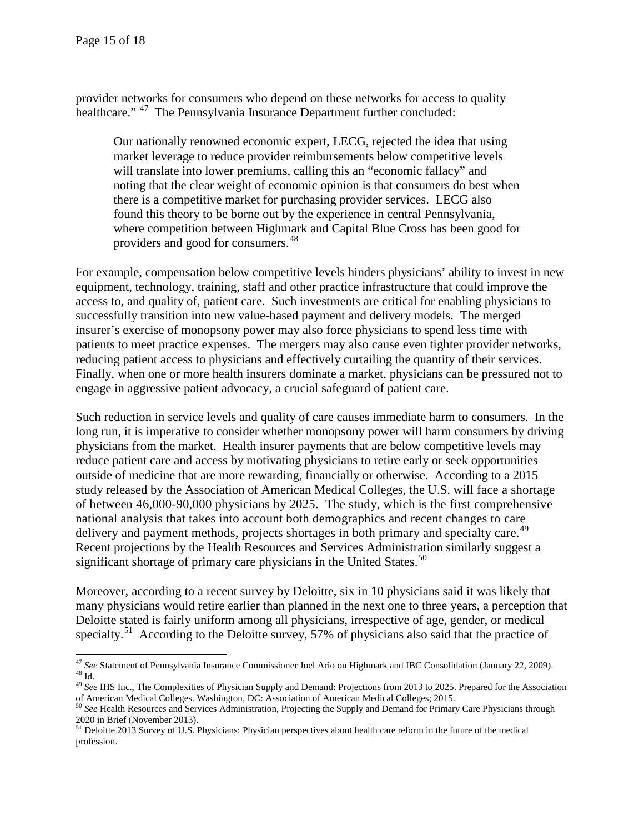provider networks for consumers who depend on these networks for access to quality healthcare." <sup>[47](#page-14-0)</sup> The Pennsylvania Insurance Department further concluded:

Our nationally renowned economic expert, LECG, rejected the idea that using market leverage to reduce provider reimbursements below competitive levels will translate into lower premiums, calling this an "economic fallacy" and noting that the clear weight of economic opinion is that consumers do best when there is a competitive market for purchasing provider services. LECG also found this theory to be borne out by the experience in central Pennsylvania, where competition between Highmark and Capital Blue Cross has been good for providers and good for consumers.<sup>[48](#page-14-1)</sup>

For example, compensation below competitive levels hinders physicians' ability to invest in new equipment, technology, training, staff and other practice infrastructure that could improve the access to, and quality of, patient care. Such investments are critical for enabling physicians to successfully transition into new value-based payment and delivery models. The merged insurer's exercise of monopsony power may also force physicians to spend less time with patients to meet practice expenses. The mergers may also cause even tighter provider networks, reducing patient access to physicians and effectively curtailing the quantity of their services. Finally, when one or more health insurers dominate a market, physicians can be pressured not to engage in aggressive patient advocacy, a crucial safeguard of patient care.

Such reduction in service levels and quality of care causes immediate harm to consumers. In the long run, it is imperative to consider whether monopsony power will harm consumers by driving physicians from the market. Health insurer payments that are below competitive levels may reduce patient care and access by motivating physicians to retire early or seek opportunities outside of medicine that are more rewarding, financially or otherwise. According to a 2015 study released by the Association of American Medical Colleges, the U.S. will face a shortage of between 46,000-90,000 physicians by 2025. The study, which is the first comprehensive national analysis that takes into account both demographics and recent changes to care delivery and payment methods, projects shortages in both primary and specialty care.<sup>49</sup> Recent projections by the Health Resources and Services Administration similarly suggest a significant shortage of primary care physicians in the United States.<sup>[50](#page-14-3)</sup>

Moreover, according to a recent survey by Deloitte, six in 10 physicians said it was likely that many physicians would retire earlier than planned in the next one to three years, a perception that Deloitte stated is fairly uniform among all physicians, irrespective of age, gender, or medical specialty.<sup>[51](#page-14-4)</sup> According to the Deloitte survey, 57% of physicians also said that the practice of

<span id="page-14-1"></span><span id="page-14-0"></span><sup>&</sup>lt;sup>47</sup> See Statement of Pennsylvania Insurance Commissioner Joel Ario on Highmark and IBC Consolidation (January 22, 2009). 386 Statement of Femisylvania insurance Commissioner vocating on angumma music.<br>
<sup>48</sup> Id.<br>
<sup>49</sup> See IHS Inc., The Complexities of Physician Supply and Demand: Projections from 2013 to 2025. Prepared for the Association

<span id="page-14-2"></span>of American Medical Colleges. Washington, DC: Association of American Medical Colleges; 2015.

<span id="page-14-3"></span><sup>50</sup> *See* Health Resources and Services Administration, Projecting the Supply and Demand for Primary Care Physicians through 2020 in Brief (November 2013).<br><sup>51</sup> Deloitte 2013 Survey of U.S. Physicians: Physician perspectives about health care reform in the future of the medical

<span id="page-14-4"></span>profession.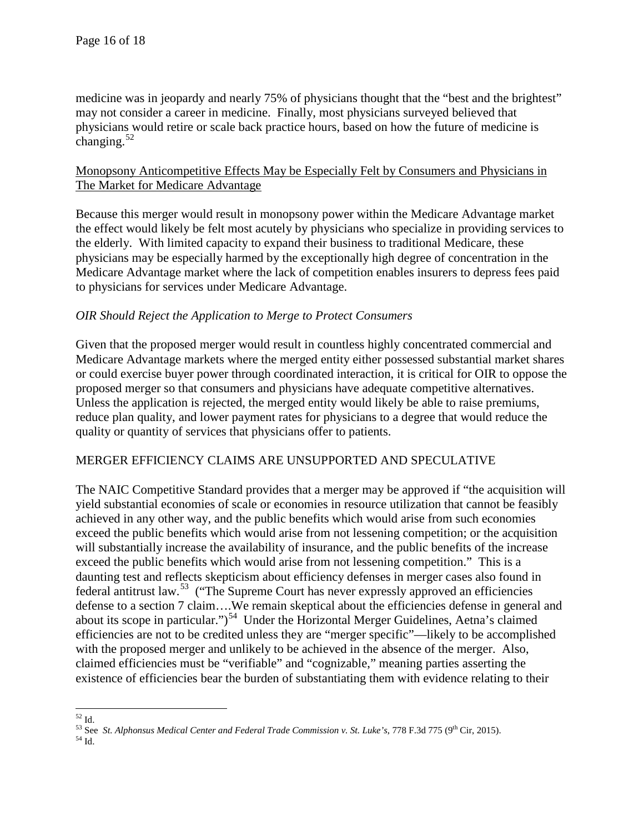medicine was in jeopardy and nearly 75% of physicians thought that the "best and the brightest" may not consider a career in medicine. Finally, most physicians surveyed believed that physicians would retire or scale back practice hours, based on how the future of medicine is changing. $52$ 

# Monopsony Anticompetitive Effects May be Especially Felt by Consumers and Physicians in The Market for Medicare Advantage

Because this merger would result in monopsony power within the Medicare Advantage market the effect would likely be felt most acutely by physicians who specialize in providing services to the elderly. With limited capacity to expand their business to traditional Medicare, these physicians may be especially harmed by the exceptionally high degree of concentration in the Medicare Advantage market where the lack of competition enables insurers to depress fees paid to physicians for services under Medicare Advantage.

# *OIR Should Reject the Application to Merge to Protect Consumers*

Given that the proposed merger would result in countless highly concentrated commercial and Medicare Advantage markets where the merged entity either possessed substantial market shares or could exercise buyer power through coordinated interaction, it is critical for OIR to oppose the proposed merger so that consumers and physicians have adequate competitive alternatives. Unless the application is rejected, the merged entity would likely be able to raise premiums, reduce plan quality, and lower payment rates for physicians to a degree that would reduce the quality or quantity of services that physicians offer to patients.

# MERGER EFFICIENCY CLAIMS ARE UNSUPPORTED AND SPECULATIVE

The NAIC Competitive Standard provides that a merger may be approved if "the acquisition will yield substantial economies of scale or economies in resource utilization that cannot be feasibly achieved in any other way, and the public benefits which would arise from such economies exceed the public benefits which would arise from not lessening competition; or the acquisition will substantially increase the availability of insurance, and the public benefits of the increase exceed the public benefits which would arise from not lessening competition." This is a daunting test and reflects skepticism about efficiency defenses in merger cases also found in federal antitrust law.<sup>[53](#page-15-1)</sup> ("The Supreme Court has never expressly approved an efficiencies defense to a section 7 claim….We remain skeptical about the efficiencies defense in general and about its scope in particular.")<sup>[54](#page-15-2)</sup> Under the Horizontal Merger Guidelines, Aetna's claimed efficiencies are not to be credited unless they are "merger specific"—likely to be accomplished with the proposed merger and unlikely to be achieved in the absence of the merger. Also, claimed efficiencies must be "verifiable" and "cognizable," meaning parties asserting the existence of efficiencies bear the burden of substantiating them with evidence relating to their

<span id="page-15-0"></span> $^{52}$  Id.

<span id="page-15-2"></span><span id="page-15-1"></span><sup>&</sup>lt;sup>53</sup> See *St. Alphonsus Medical Center and Federal Trade Commission v. St. Luke's, 778 F.3d 775 (9<sup>th</sup> Cir, 2015).<br><sup>54</sup> Id.*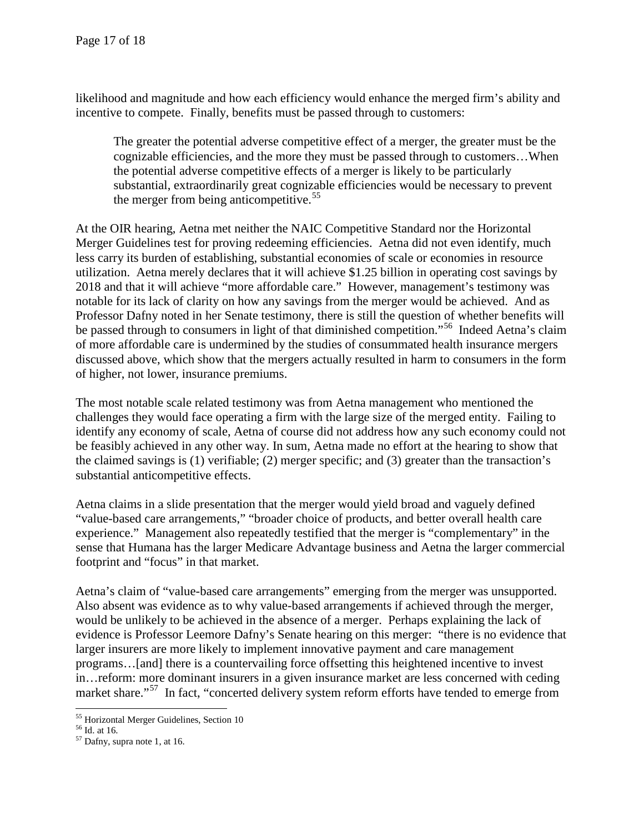likelihood and magnitude and how each efficiency would enhance the merged firm's ability and incentive to compete. Finally, benefits must be passed through to customers:

The greater the potential adverse competitive effect of a merger, the greater must be the cognizable efficiencies, and the more they must be passed through to customers…When the potential adverse competitive effects of a merger is likely to be particularly substantial, extraordinarily great cognizable efficiencies would be necessary to prevent the merger from being anticompetitive.<sup>[55](#page-16-0)</sup>

At the OIR hearing, Aetna met neither the NAIC Competitive Standard nor the Horizontal Merger Guidelines test for proving redeeming efficiencies. Aetna did not even identify, much less carry its burden of establishing, substantial economies of scale or economies in resource utilization. Aetna merely declares that it will achieve \$1.25 billion in operating cost savings by 2018 and that it will achieve "more affordable care." However, management's testimony was notable for its lack of clarity on how any savings from the merger would be achieved. And as Professor Dafny noted in her Senate testimony, there is still the question of whether benefits will be passed through to consumers in light of that diminished competition."<sup>[56](#page-16-1)</sup> Indeed Aetna's claim of more affordable care is undermined by the studies of consummated health insurance mergers discussed above, which show that the mergers actually resulted in harm to consumers in the form of higher, not lower, insurance premiums.

The most notable scale related testimony was from Aetna management who mentioned the challenges they would face operating a firm with the large size of the merged entity. Failing to identify any economy of scale, Aetna of course did not address how any such economy could not be feasibly achieved in any other way. In sum, Aetna made no effort at the hearing to show that the claimed savings is (1) verifiable; (2) merger specific; and (3) greater than the transaction's substantial anticompetitive effects.

Aetna claims in a slide presentation that the merger would yield broad and vaguely defined "value-based care arrangements," "broader choice of products, and better overall health care experience." Management also repeatedly testified that the merger is "complementary" in the sense that Humana has the larger Medicare Advantage business and Aetna the larger commercial footprint and "focus" in that market.

Aetna's claim of "value-based care arrangements" emerging from the merger was unsupported. Also absent was evidence as to why value-based arrangements if achieved through the merger, would be unlikely to be achieved in the absence of a merger. Perhaps explaining the lack of evidence is Professor Leemore Dafny's Senate hearing on this merger: "there is no evidence that larger insurers are more likely to implement innovative payment and care management programs…[and] there is a countervailing force offsetting this heightened incentive to invest in…reform: more dominant insurers in a given insurance market are less concerned with ceding market share."<sup>57</sup> In fact, "concerted delivery system reform efforts have tended to emerge from

l

<span id="page-16-0"></span><sup>&</sup>lt;sup>55</sup> Horizontal Merger Guidelines, Section 10<br><sup>56</sup> Id. at 16.  $\frac{57 \text{ Dafnv}}{3}$ , supra note 1, at 16.

<span id="page-16-1"></span>

<span id="page-16-2"></span>